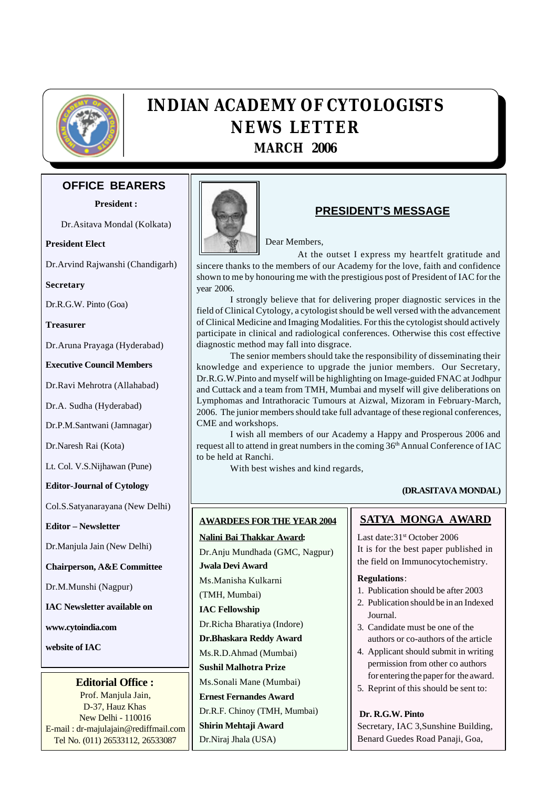

# **INDIAN ACADEMY OF CYTOLOGISTS NEWS LETTER MARCH 2006**

# **OFFICE BEARERS**

**President :**

Dr.Asitava Mondal (Kolkata)

**President Elect**

Dr.Arvind Rajwanshi (Chandigarh)

**Secretary**

Dr.R.G.W. Pinto (Goa)

**Treasurer**

Dr.Aruna Prayaga (Hyderabad)

**Executive Council Members**

Dr.Ravi Mehrotra (Allahabad)

Dr.A. Sudha (Hyderabad)

Dr.P.M.Santwani (Jamnagar)

Dr.Naresh Rai (Kota)

Lt. Col. V.S.Nijhawan (Pune)

**Editor-Journal of Cytology**

Col.S.Satyanarayana (New Delhi)

**Editor – Newsletter**

Dr.Manjula Jain (New Delhi)

**Chairperson, A&E Committee**

Dr.M.Munshi (Nagpur)

**IAC Newsletter available on**

**www.cytoindia.com**

**website of IAC**

**Editorial Office :**

Prof. Manjula Jain, D-37, Hauz Khas New Delhi - 110016 E-mail : dr-majulajain@rediffmail.com Tel No. (011) 26533112, 26533087



# **PRESIDENT'S MESSAGE**

Dear Members,

At the outset I express my heartfelt gratitude and sincere thanks to the members of our Academy for the love, faith and confidence shown to me by honouring me with the prestigious post of President of IAC for the year 2006.

I strongly believe that for delivering proper diagnostic services in the field of Clinical Cytology, a cytologist should be well versed with the advancement of Clinical Medicine and Imaging Modalities. For this the cytologist should actively participate in clinical and radiological conferences. Otherwise this cost effective diagnostic method may fall into disgrace.

The senior members should take the responsibility of disseminating their knowledge and experience to upgrade the junior members. Our Secretary, Dr.R.G.W.Pinto and myself will be highlighting on Image-guided FNAC at Jodhpur and Cuttack and a team from TMH, Mumbai and myself will give deliberations on Lymphomas and Intrathoracic Tumours at Aizwal, Mizoram in February-March, 2006. The junior members should take full advantage of these regional conferences, CME and workshops.

I wish all members of our Academy a Happy and Prosperous 2006 and request all to attend in great numbers in the coming 36<sup>th</sup> Annual Conference of IAC to be held at Ranchi.

With best wishes and kind regards,

### **(DR.ASITAVA MONDAL)**

### **AWARDEES FOR THE YEAR 2004**

**Nalini Bai Thakkar Award:** Dr.Anju Mundhada (GMC, Nagpur) **Jwala Devi Award** Ms.Manisha Kulkarni (TMH, Mumbai) **IAC Fellowship** Dr.Richa Bharatiya (Indore) **Dr.Bhaskara Reddy Award** Ms.R.D.Ahmad (Mumbai) **Sushil Malhotra Prize** Ms.Sonali Mane (Mumbai) **Ernest Fernandes Award** Dr.R.F. Chinoy (TMH, Mumbai) **Shirin Mehtaji Award** Dr.Niraj Jhala (USA)

## **SATYA MONGA AWARD**

Last date: 31<sup>st</sup> October 2006 It is for the best paper published in the field on Immunocytochemistry.

#### **Regulations**:

- 1. Publication should be after 2003
- 2. Publication should be in an Indexed Journal.
- 3. Candidate must be one of the authors or co-authors of the article
- 4. Applicant should submit in writing permission from other co authors for entering the paper for the award.
- 5. Reprint of this should be sent to:

### **Dr. R.G.W. Pinto**

Secretary, IAC 3,Sunshine Building, Benard Guedes Road Panaji, Goa,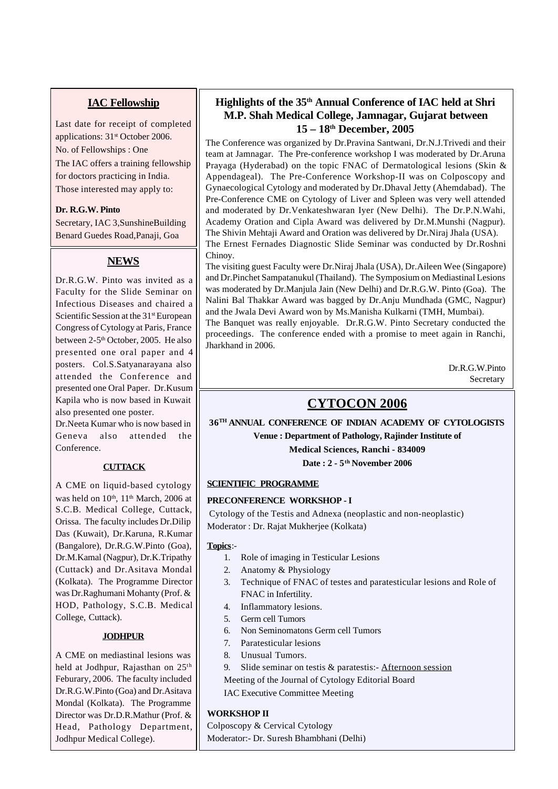# **IAC Fellowship**

Last date for receipt of completed applications: 31<sup>st</sup> October 2006. No. of Fellowships : One The IAC offers a training fellowship for doctors practicing in India. Those interested may apply to:

### **Dr. R.G.W. Pinto**

Secretary, IAC 3,SunshineBuilding Benard Guedes Road,Panaji, Goa

# **NEWS**

Dr.R.G.W. Pinto was invited as a Faculty for the Slide Seminar on Infectious Diseases and chaired a Scientific Session at the 31<sup>st</sup> European Congress of Cytology at Paris, France between 2-5<sup>th</sup> October, 2005. He also presented one oral paper and 4 posters. Col.S.Satyanarayana also attended the Conference and presented one Oral Paper. Dr.Kusum Kapila who is now based in Kuwait also presented one poster.

Dr.Neeta Kumar who is now based in Geneva also attended the Conference.

### **CUTTACK**

A CME on liquid-based cytology was held on  $10<sup>th</sup>$ ,  $11<sup>th</sup>$  March, 2006 at S.C.B. Medical College, Cuttack, Orissa. The faculty includes Dr.Dilip Das (Kuwait), Dr.Karuna, R.Kumar (Bangalore), Dr.R.G.W.Pinto (Goa), Dr.M.Kamal (Nagpur), Dr.K.Tripathy (Cuttack) and Dr.Asitava Mondal (Kolkata). The Programme Director was Dr.Raghumani Mohanty (Prof. & HOD, Pathology, S.C.B. Medical College, Cuttack).

### **JODHPUR**

A CME on mediastinal lesions was held at Jodhpur, Rajasthan on 25th Feburary, 2006. The faculty included Dr.R.G.W.Pinto (Goa) and Dr.Asitava Mondal (Kolkata). The Programme Director was Dr.D.R.Mathur (Prof. & Head, Pathology Department, Jodhpur Medical College).

# **Highlights of the 35th Annual Conference of IAC held at Shri M.P. Shah Medical College, Jamnagar, Gujarat between 15 – 18th December, 2005**

The Conference was organized by Dr.Pravina Santwani, Dr.N.J.Trivedi and their team at Jamnagar. The Pre-conference workshop I was moderated by Dr.Aruna Prayaga (Hyderabad) on the topic FNAC of Dermatological lesions (Skin & Appendageal). The Pre-Conference Workshop-II was on Colposcopy and Gynaecological Cytology and moderated by Dr.Dhaval Jetty (Ahemdabad). The Pre-Conference CME on Cytology of Liver and Spleen was very well attended and moderated by Dr.Venkateshwaran Iyer (New Delhi). The Dr.P.N.Wahi, Academy Oration and Cipla Award was delivered by Dr.M.Munshi (Nagpur). The Shivin Mehtaji Award and Oration was delivered by Dr.Niraj Jhala (USA). The Ernest Fernades Diagnostic Slide Seminar was conducted by Dr.Roshni Chinoy.

The visiting guest Faculty were Dr.Niraj Jhala (USA), Dr.Aileen Wee (Singapore) and Dr.Pinchet Sampatanukul (Thailand). The Symposium on Mediastinal Lesions was moderated by Dr.Manjula Jain (New Delhi) and Dr.R.G.W. Pinto (Goa). The Nalini Bal Thakkar Award was bagged by Dr.Anju Mundhada (GMC, Nagpur) and the Jwala Devi Award won by Ms.Manisha Kulkarni (TMH, Mumbai). The Banquet was really enjoyable. Dr.R.G.W. Pinto Secretary conducted the proceedings. The conference ended with a promise to meet again in Ranchi,

> Dr.R.G.W.Pinto Secretary

# **CYTOCON 2006**

**36TH ANNUAL CONFERENCE OF INDIAN ACADEMY OF CYTOLOGISTS Venue : Department of Pathology, Rajinder Institute of Medical Sciences, Ranchi - 834009 Date : 2 - 5th November 2006**

### **SCIENTIFIC PROGRAMME**

Jharkhand in 2006.

### **PRECONFERENCE WORKSHOP - I**

 Cytology of the Testis and Adnexa (neoplastic and non-neoplastic) Moderator : Dr. Rajat Mukherjee (Kolkata)

### **Topics**:-

- 1. Role of imaging in Testicular Lesions
- 2. Anatomy & Physiology
- 3. Technique of FNAC of testes and paratesticular lesions and Role of FNAC in Infertility.
- 4. Inflammatory lesions.
- 5. Germ cell Tumors
- 6. Non Seminomatons Germ cell Tumors
- 7. Paratesticular lesions
- 8. Unusual Tumors.
- 9. Slide seminar on testis & paratestis:- Afternoon session

Meeting of the Journal of Cytology Editorial Board

IAC Executive Committee Meeting

### **WORKSHOP II**

Colposcopy & Cervical Cytology Moderator:- Dr. Suresh Bhambhani (Delhi)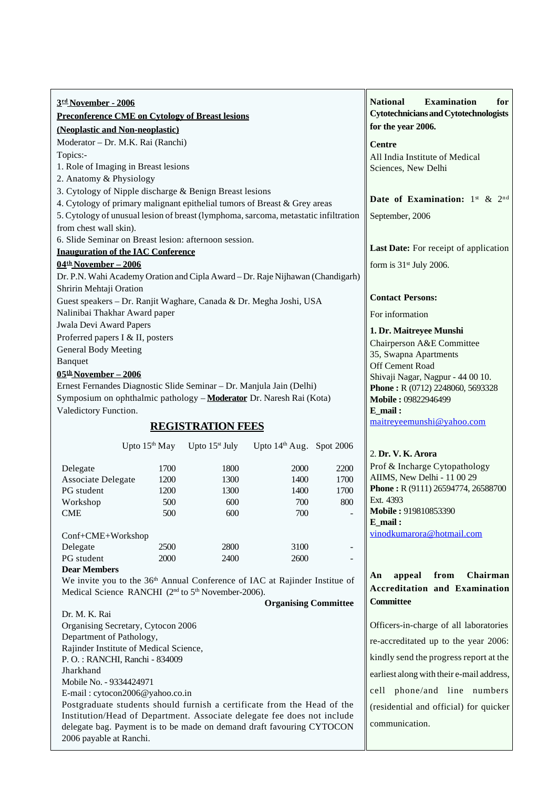| 3rd November - 2006                                                                                                        |                           |                            |                             |      | <b>Examination</b><br><b>National</b><br>for    |  |
|----------------------------------------------------------------------------------------------------------------------------|---------------------------|----------------------------|-----------------------------|------|-------------------------------------------------|--|
| <b>Preconference CME on Cytology of Breast lesions</b>                                                                     |                           |                            |                             |      | <b>Cytotechnicians and Cytotechnologists</b>    |  |
| (Neoplastic and Non-neoplastic)                                                                                            |                           |                            |                             |      | for the year 2006.                              |  |
| Moderator - Dr. M.K. Rai (Ranchi)                                                                                          |                           |                            |                             |      | <b>Centre</b>                                   |  |
| Topics:-                                                                                                                   |                           |                            |                             |      | All India Institute of Medical                  |  |
| 1. Role of Imaging in Breast lesions                                                                                       |                           |                            |                             |      | Sciences, New Delhi                             |  |
| 2. Anatomy & Physiology                                                                                                    |                           |                            |                             |      |                                                 |  |
| 3. Cytology of Nipple discharge & Benign Breast lesions                                                                    |                           |                            |                             |      | Date of Examination: $1^{st}$ & $2^{nd}$        |  |
| 4. Cytology of primary malignant epithelial tumors of Breast & Grey areas                                                  |                           |                            |                             |      |                                                 |  |
| 5. Cytology of unusual lesion of breast (lymphoma, sarcoma, metastatic infiltration                                        |                           |                            |                             |      | September, 2006                                 |  |
| from chest wall skin).                                                                                                     |                           |                            |                             |      |                                                 |  |
| 6. Slide Seminar on Breast lesion: afternoon session.                                                                      |                           |                            |                             |      |                                                 |  |
| <b>Inauguration of the IAC Conference</b>                                                                                  |                           |                            |                             |      | Last Date: For receipt of application           |  |
| $\underline{04}$ <sup>th</sup> November - 2006                                                                             |                           |                            |                             |      | form is $31st$ July 2006.                       |  |
| Dr. P.N. Wahi Academy Oration and Cipla Award - Dr. Raje Nijhawan (Chandigarh)                                             |                           |                            |                             |      |                                                 |  |
| Shririn Mehtaji Oration                                                                                                    |                           |                            |                             |      |                                                 |  |
| Guest speakers - Dr. Ranjit Waghare, Canada & Dr. Megha Joshi, USA                                                         |                           |                            |                             |      | <b>Contact Persons:</b>                         |  |
| Nalinibai Thakhar Award paper                                                                                              |                           |                            |                             |      | For information                                 |  |
| Jwala Devi Award Papers                                                                                                    |                           |                            |                             |      | 1. Dr. Maitreyee Munshi                         |  |
| Proferred papers I & II, posters                                                                                           |                           |                            |                             |      | Chairperson A&E Committee                       |  |
| <b>General Body Meeting</b>                                                                                                |                           |                            |                             |      | 35, Swapna Apartments                           |  |
| Banquet                                                                                                                    |                           |                            |                             |      | Off Cement Road                                 |  |
| $05th$ November - 2006                                                                                                     |                           |                            |                             |      | Shivaji Nagar, Nagpur - 44 00 10.               |  |
| Ernest Fernandes Diagnostic Slide Seminar - Dr. Manjula Jain (Delhi)                                                       |                           |                            |                             |      | Phone: R (0712) 2248060, 5693328                |  |
| Symposium on ophthalmic pathology - Moderator Dr. Naresh Rai (Kota)                                                        |                           |                            |                             |      | Mobile: 09822946499                             |  |
| Valedictory Function.                                                                                                      |                           |                            |                             |      | $E$ mail:                                       |  |
| <b>REGISTRATION FEES</b>                                                                                                   |                           |                            |                             |      | maitreyeemunshi@yahoo.com                       |  |
|                                                                                                                            | Upto 15 <sup>th</sup> May | Upto 15 <sup>st</sup> July | Upto $14th$ Aug. Spot 2006  |      |                                                 |  |
|                                                                                                                            |                           |                            |                             |      | 2. Dr. V. K. Arora                              |  |
| Delegate                                                                                                                   | 1700                      | 1800                       | 2000                        | 2200 | Prof & Incharge Cytopathology                   |  |
| Associate Delegate                                                                                                         | 1200                      | 1300                       | 1400                        | 1700 | AIIMS, New Delhi - 11 00 29                     |  |
| PG student                                                                                                                 | 1200                      | 1300                       | 1400                        | 1700 | Phone: R (9111) 26594774, 26588700<br>Ext. 4393 |  |
| Workshop                                                                                                                   | 500                       | 600                        | 700                         | 800  | Mobile: 919810853390                            |  |
| <b>CME</b>                                                                                                                 | 500                       | 600                        | 700                         |      | E mail:                                         |  |
| Conf+CME+Workshop                                                                                                          |                           |                            |                             |      | vinodkumarora@hotmail.com                       |  |
| Delegate                                                                                                                   | 2500                      | 2800                       | 3100                        | ۰    |                                                 |  |
| PG student                                                                                                                 | 2000                      | 2400                       | 2600                        |      |                                                 |  |
| <b>Dear Members</b>                                                                                                        |                           |                            |                             |      |                                                 |  |
| Chairman<br>appeal<br>from<br>An<br>We invite you to the 36 <sup>th</sup> Annual Conference of IAC at Rajinder Institue of |                           |                            |                             |      |                                                 |  |
| Medical Science RANCHI (2 <sup>nd</sup> to 5 <sup>th</sup> November-2006).                                                 |                           |                            |                             |      | <b>Accreditation and Examination</b>            |  |
|                                                                                                                            |                           |                            | <b>Organising Committee</b> |      | <b>Committee</b>                                |  |
| Dr. M. K. Rai                                                                                                              |                           |                            |                             |      |                                                 |  |
| Organising Secretary, Cytocon 2006                                                                                         |                           |                            |                             |      | Officers-in-charge of all laboratories          |  |
| Department of Pathology,                                                                                                   |                           |                            |                             |      | re-accreditated up to the year 2006:            |  |
| Rajinder Institute of Medical Science,                                                                                     |                           |                            |                             |      | kindly send the progress report at the          |  |
| P. O.: RANCHI, Ranchi - 834009                                                                                             |                           |                            |                             |      |                                                 |  |
| Jharkhand<br>Mobile No. - 9334424971                                                                                       |                           |                            |                             |      | earliest along with their e-mail address,       |  |
| $E$ -mail · cytocon2006@vahoo.co.in                                                                                        |                           |                            |                             |      | cell phone/and line numbers                     |  |

E-mail : cytocon2006@yahoo.co.in

Postgraduate students should furnish a certificate from the Head of the Institution/Head of Department. Associate delegate fee does not include delegate bag. Payment is to be made on demand draft favouring CYTOCON 2006 payable at Ranchi.

communication.

(residential and official) for quicker